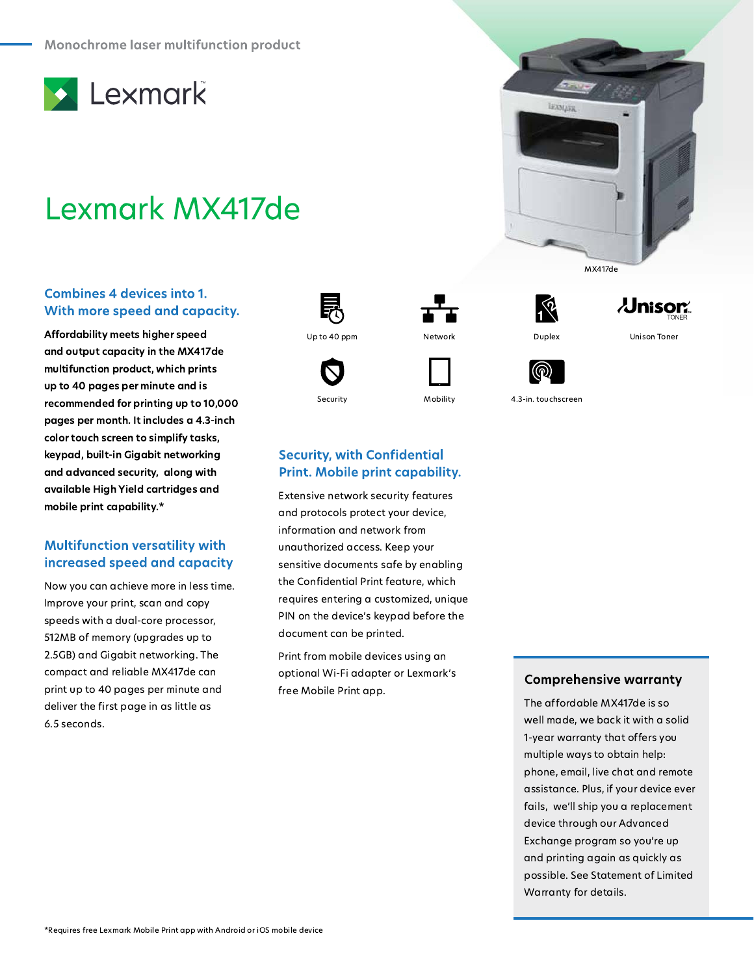

# Lexmark MX417de

#### **Combines 4 devices into 1.** With more speed and capacity.

Affordability meets higher speed and output capacity in the MX417de multifunction product, which prints up to 40 pages per minute and is recommended for printing up to 10,000 pages per month. It includes a 4.3-inch color touch screen to simplify tasks, keypad, built-in Gigabit networking and advanced security, along with available High Yield cartridges and mobile print capability.\*

# **Multifunction versatility with** increased speed and capacity

Now you can achieve more in less time. Improve your print, scan and copy speeds with a dual-core processor, 512MB of memory (upgrades up to 2.5GB) and Gigabit networking. The compact and reliable MX417de can print up to 40 pages per minute and deliver the first page in as little as 6.5 seconds.





Security

**Security, with Confidential** 

Print. Mobile print capability.

Extensive network security features

and protocols protect your device, information and network from

unauthorized access. Keep your

document can be printed.

free Mobile Print app.

sensitive documents safe by enabling the Confidential Print feature, which

requires entering a customized, unique

PIN on the device's keypad before the

Print from mobile devices using an

optional Wi-Fi adapter or Lexmark's

Network

Mobility





MX417de

**Unison Toner** 

4.3-in. touchscreen

**LEXNARK** 

### **Comprehensive warranty**

The affordable MX417de is so well made, we back it with a solid 1-year warranty that offers you multiple ways to obtain help: phone, email, live chat and remote assistance. Plus, if your device ever fails, we'll ship you a replacement device through our Advanced Exchange program so you're up and printing again as quickly as possible. See Statement of Limited Warranty for details.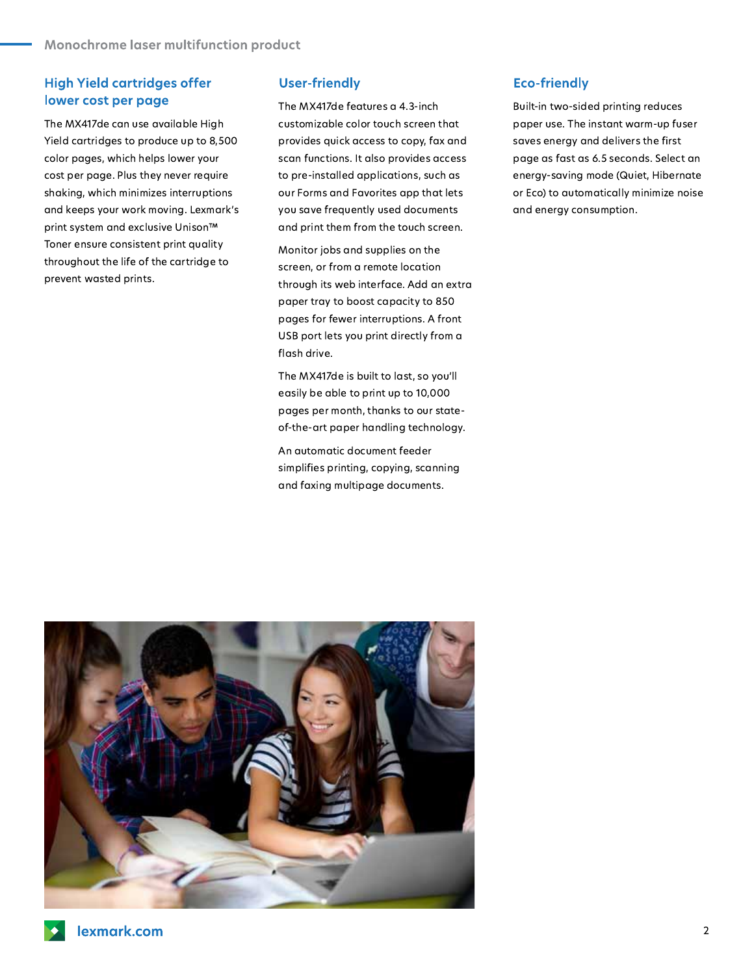# **High Yield cartridges offer** lower cost per page

The MX417de can use available High Yield cartridges to produce up to 8,500 color pages, which helps lower your cost per page. Plus they never require shaking, which minimizes interruptions and keeps your work moving. Lexmark's print system and exclusive Unison™ Toner ensure consistent print quality throughout the life of the cartridge to prevent wasted prints.

#### **User-friendly**

The MX417de features a 4.3-inch customizable color touch screen that provides quick access to copy, fax and scan functions. It also provides access to pre-installed applications, such as our Forms and Favorites app that lets you save frequently used documents and print them from the touch screen.

Monitor jobs and supplies on the screen, or from a remote location through its web interface. Add an extra paper tray to boost capacity to 850 pages for fewer interruptions. A front USB port lets you print directly from a flash drive.

The MX417de is built to last, so you'll easily be able to print up to 10,000 pages per month, thanks to our stateof-the-art paper handling technology.

An automatic document feeder simplifies printing, copying, scanning and faxing multipage documents.

## **Eco-friendly**

Built-in two-sided printing reduces paper use. The instant warm-up fuser saves energy and delivers the first page as fast as 6.5 seconds. Select an energy-saving mode (Quiet, Hibernate or Eco) to automatically minimize noise and energy consumption.

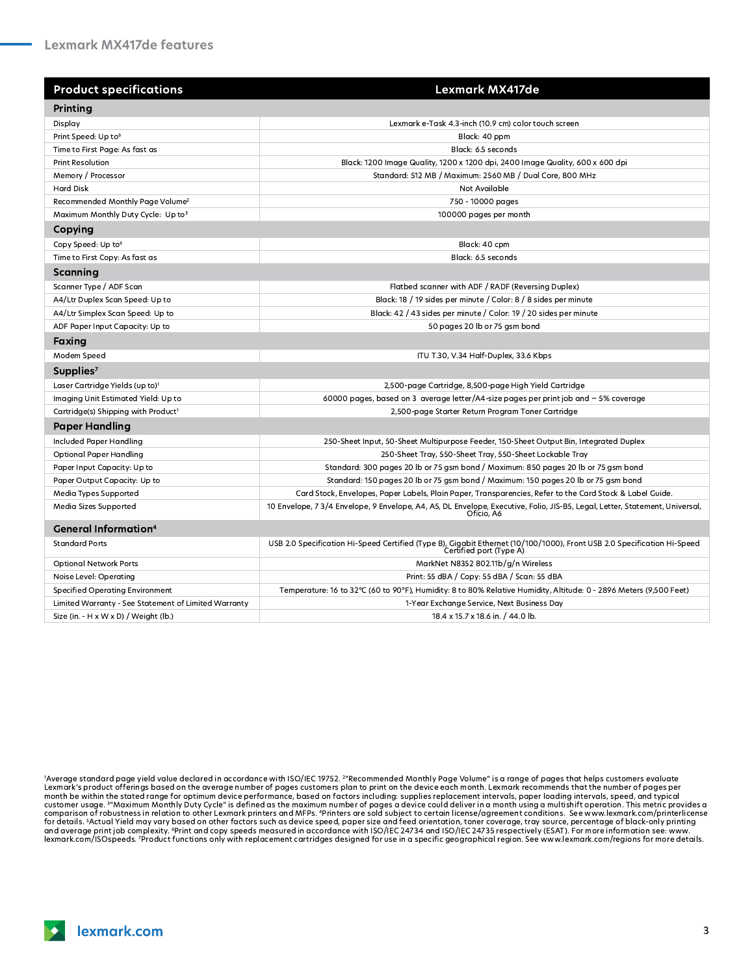| <b>Product specifications</b>                        | Lexmark MX417de                                                                                                                                    |
|------------------------------------------------------|----------------------------------------------------------------------------------------------------------------------------------------------------|
| Printing                                             |                                                                                                                                                    |
| Display                                              | Lexmark e-Task 4.3-inch (10.9 cm) color touch screen                                                                                               |
| Print Speed: Up to <sup>6</sup>                      | Black: 40 ppm                                                                                                                                      |
| Time to First Page: As fast as                       | Black: 6.5 seconds                                                                                                                                 |
| <b>Print Resolution</b>                              | Black: 1200 Image Quality, 1200 x 1200 dpi, 2400 Image Quality, 600 x 600 dpi                                                                      |
| Memory / Processor                                   | Standard: 512 MB / Maximum: 2560 MB / Dual Core, 800 MHz                                                                                           |
| <b>Hard Disk</b>                                     | Not Available                                                                                                                                      |
| Recommended Monthly Page Volume <sup>2</sup>         | 750 - 10000 pages                                                                                                                                  |
| Maximum Monthly Duty Cycle: Up to3                   | 100000 pages per month                                                                                                                             |
| Copying                                              |                                                                                                                                                    |
| Copy Speed: Up to <sup>6</sup>                       | Black: 40 cpm                                                                                                                                      |
| Time to First Copy: As fast as                       | Black: 6.5 seconds                                                                                                                                 |
| Scanning                                             |                                                                                                                                                    |
| Scanner Type / ADF Scan                              | Flatbed scanner with ADF / RADF (Reversing Duplex)                                                                                                 |
| A4/Ltr Duplex Scan Speed: Up to                      | Black: 18 / 19 sides per minute / Color: 8 / 8 sides per minute                                                                                    |
| A4/Ltr Simplex Scan Speed: Up to                     | Black: 42 / 43 sides per minute / Color: 19 / 20 sides per minute                                                                                  |
| ADF Paper Input Capacity: Up to                      | 50 pages 20 lb or 75 gsm bond                                                                                                                      |
| Faxing                                               |                                                                                                                                                    |
| Modem Speed                                          | ITU T.30, V.34 Half-Duplex, 33.6 Kbps                                                                                                              |
| Supplies <sup>7</sup>                                |                                                                                                                                                    |
| Laser Cartridge Yields (up to) <sup>1</sup>          | 2,500-page Cartridge, 8,500-page High Yield Cartridge                                                                                              |
| Imaging Unit Estimated Yield: Up to                  | 60000 pages, based on 3 average letter/A4-size pages per print job and $\sim$ 5% coverage                                                          |
| Cartridge(s) Shipping with Product <sup>1</sup>      | 2,500-page Starter Return Program Toner Cartridge                                                                                                  |
| <b>Paper Handling</b>                                |                                                                                                                                                    |
| <b>Included Paper Handling</b>                       | 250-Sheet Input, 50-Sheet Multipurpose Feeder, 150-Sheet Output Bin, Integrated Duplex                                                             |
| <b>Optional Paper Handling</b>                       | 250-Sheet Tray, 550-Sheet Tray, 550-Sheet Lockable Tray                                                                                            |
| Paper Input Capacity: Up to                          | Standard: 300 pages 20 lb or 75 gsm bond / Maximum: 850 pages 20 lb or 75 gsm bond                                                                 |
| Paper Output Capacity: Up to                         | Standard: 150 pages 20 lb or 75 gsm bond / Maximum: 150 pages 20 lb or 75 gsm bond                                                                 |
| Media Types Supported                                | Card Stock, Envelopes, Paper Labels, Plain Paper, Transparencies, Refer to the Card Stock & Label Guide.                                           |
| Media Sizes Supported                                | 10 Envelope, 7 3/4 Envelope, 9 Envelope, A4, A5, DL Envelope, Executive, Folio, JIS-B5, Legal, Letter, Statement, Universal,<br>Oficio. A6         |
| <b>General Information4</b>                          |                                                                                                                                                    |
| <b>Standard Ports</b>                                | USB 2.0 Specification Hi-Speed Certified (Type B), Gigabit Ethernet (10/100/1000), Front USB 2.0 Specification Hi-Speed<br>Certified port (Type A) |
| <b>Optional Network Ports</b>                        | MarkNet N8352 802.11b/g/n Wireless                                                                                                                 |
| Noise Level: Operating                               | Print: 55 dBA / Copy: 55 dBA / Scan: 55 dBA                                                                                                        |
| <b>Specified Operating Environment</b>               | Temperature: 16 to 32°C (60 to 90°F), Humidity: 8 to 80% Relative Humidity, Altitude: 0 - 2896 Meters (9,500 Feet)                                 |
| Limited Warranty - See Statement of Limited Warranty | 1-Year Exchange Service, Next Business Day                                                                                                         |
| Size (in. - H x W x D) / Weight (lb.)                | 18.4 x 15.7 x 18.6 in. / 44.0 lb.                                                                                                                  |

'Average standard page yield value declared in accordance with ISO/IEC 19752. <sup>2</sup>"Recommended Monthly Page Volume" is a range of pages that helps customers evaluate<br>Lexmark's product offerings based on the average number o